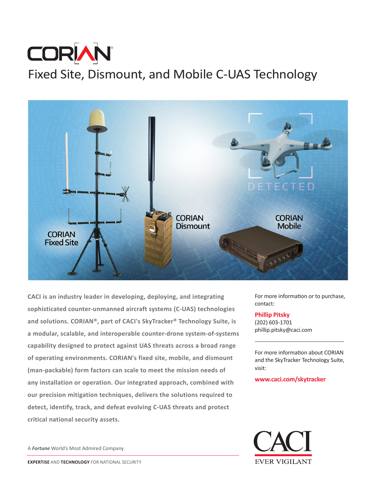# **CORIAN** Fixed Site, Dismount, and Mobile C-UAS Technology



**CACI is an industry leader in developing, deploying, and integrating sophisticated counter-unmanned aircraft systems (C-UAS) technologies and solutions. CORIAN®, part of CACI's SkyTracker® Technology Suite, is a modular, scalable, and interoperable counter-drone system-of-systems capability designed to protect against UAS threats across a broad range of operating environments. CORIAN's fixed site, mobile, and dismount (man-packable) form factors can scale to meet the mission needs of any installation or operation. Our integrated approach, combined with our precision mitigation techniques, delivers the solutions required to detect, identify, track, and defeat evolving C-UAS threats and protect critical national security assets.**

A *Fortune* World's Most Admired Company

For more information or to purchase, contact:

## **Phillip Pitsky**

(202) 603-1701 phillip.pitsky@caci.com

For more information about CORIAN and the SkyTracker Technology Suite, visit:

**www.caci.com/skytracker**